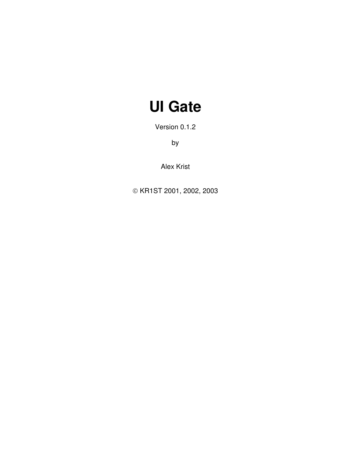# **UI Gate**

Version 0.1.2

by

Alex Krist

© KR1ST 2001, 2002, 2003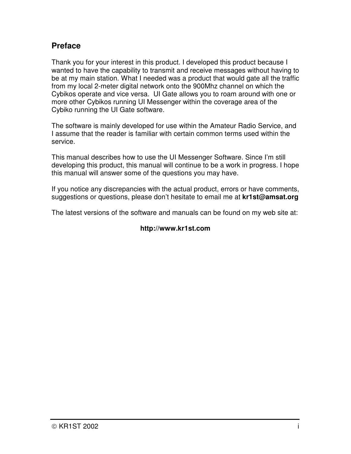### **Preface**

Thank you for your interest in this product. I developed this product because I wanted to have the capability to transmit and receive messages without having to be at my main station. What I needed was a product that would gate all the traffic from my local 2-meter digital network onto the 900Mhz channel on which the Cybikos operate and vice versa. UI Gate allows you to roam around with one or more other Cybikos running UI Messenger within the coverage area of the Cybiko running the UI Gate software.

The software is mainly developed for use within the Amateur Radio Service, and I assume that the reader is familiar with certain common terms used within the service.

This manual describes how to use the UI Messenger Software. Since I'm still developing this product, this manual will continue to be a work in progress. I hope this manual will answer some of the questions you may have.

If you notice any discrepancies with the actual product, errors or have comments, suggestions or questions, please don't hesitate to email me at **kr1st@amsat.org**

The latest versions of the software and manuals can be found on my web site at:

### **http://www.kr1st.com**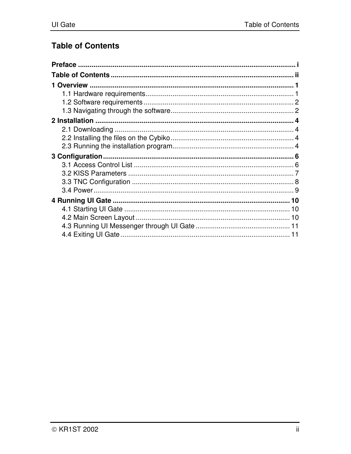# **Table of Contents**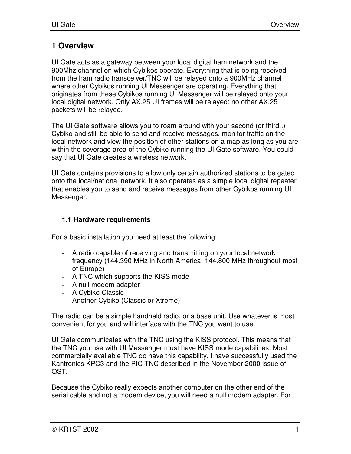### **1 Overview**

UI Gate acts as a gateway between your local digital ham network and the 900Mhz channel on which Cybikos operate. Everything that is being received from the ham radio transceiver/TNC will be relayed onto a 900MHz channel where other Cybikos running UI Messenger are operating. Everything that originates from these Cybikos running UI Messenger will be relayed onto your local digital network. Only AX.25 UI frames will be relayed; no other AX.25 packets will be relayed.

The UI Gate software allows you to roam around with your second (or third..) Cybiko and still be able to send and receive messages, monitor traffic on the local network and view the position of other stations on a map as long as you are within the coverage area of the Cybiko running the UI Gate software. You could say that UI Gate creates a wireless network.

UI Gate contains provisions to allow only certain authorized stations to be gated onto the local/national network. It also operates as a simple local digital repeater that enables you to send and receive messages from other Cybikos running UI Messenger.

#### **1.1 Hardware requirements**

For a basic installation you need at least the following:

- A radio capable of receiving and transmitting on your local network frequency (144.390 MHz in North America, 144.800 MHz throughout most of Europe)
- A TNC which supports the KISS mode
- A null modem adapter
- A Cybiko Classic
- Another Cybiko (Classic or Xtreme)

The radio can be a simple handheld radio, or a base unit. Use whatever is most convenient for you and will interface with the TNC you want to use.

UI Gate communicates with the TNC using the KISS protocol. This means that the TNC you use with UI Messenger must have KISS mode capabilities. Most commercially available TNC do have this capability. I have successfully used the Kantronics KPC3 and the PIC TNC described in the November 2000 issue of QST.

Because the Cybiko really expects another computer on the other end of the serial cable and not a modem device, you will need a null modem adapter. For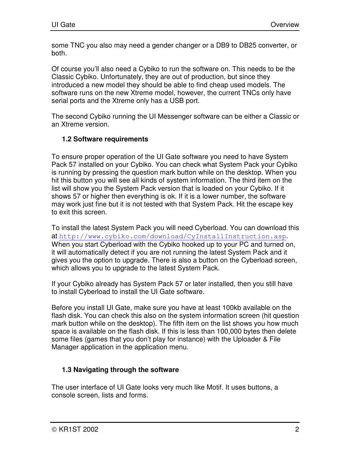some TNC you also may need a gender changer or a DB9 to DB25 converter, or both.

Of course you'll also need a Cybiko to run the software on. This needs to be the Classic Cybiko. Unfortunately, they are out of production, but since they introduced a new model they should be able to find cheap used models. The software runs on the new Xtreme model, however, the current TNCs only have serial ports and the Xtreme only has a USB port.

The second Cybiko running the UI Messenger software can be either a Classic or an Xtreme version.

### **1.2 Software requirements**

To ensure proper operation of the UI Gate software you need to have System Pack 57 installed on your Cybiko. You can check what System Pack your Cybiko is running by pressing the question mark button while on the desktop. When you hit this button you will see all kinds of system information. The third item on the list will show you the System Pack version that is loaded on your Cybiko. If it shows 57 or higher then everything is ok. If it is a lower number, the software may work just fine but it is not tested with that System Pack. Hit the escape key to exit this screen.

To install the latest System Pack you will need Cyberload. You can download this at http://www.cybiko.com/download/CyInstallInstruction.asp. When you start Cyberload with the Cybiko hooked up to your PC and turned on, it will automatically detect if you are not running the latest System Pack and it gives you the option to upgrade. There is also a button on the Cyberload screen, which allows you to upgrade to the latest System Pack.

If your Cybiko already has System Pack 57 or later installed, then you still have to install Cyberload to install the UI Gate software.

Before you install UI Gate, make sure you have at least 100kb available on the flash disk. You can check this also on the system information screen (hit question mark button while on the desktop). The fifth item on the list shows you how much space is available on the flash disk. If this is less than 100,000 bytes then delete some files (games that you don't play for instance) with the Uploader & File Manager application in the application menu.

### **1.3 Navigating through the software**

The user interface of UI Gate looks very much like Motif. It uses buttons, a console screen, lists and forms.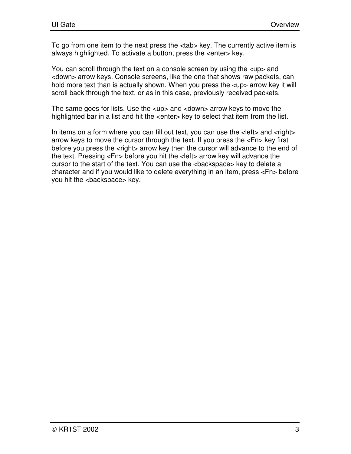To go from one item to the next press the <tab> key. The currently active item is always highlighted. To activate a button, press the <enter> key.

You can scroll through the text on a console screen by using the <up> and <down> arrow keys. Console screens, like the one that shows raw packets, can hold more text than is actually shown. When you press the <up> arrow key it will scroll back through the text, or as in this case, previously received packets.

The same goes for lists. Use the <up> and <down> arrow keys to move the highlighted bar in a list and hit the <enter> key to select that item from the list.

In items on a form where you can fill out text, you can use the <left> and <right> arrow keys to move the cursor through the text. If you press the <Fn> key first before you press the <right> arrow key then the cursor will advance to the end of the text. Pressing <Fn> before you hit the <left> arrow key will advance the cursor to the start of the text. You can use the <backspace> key to delete a character and if you would like to delete everything in an item, press <Fn> before you hit the <backspace> key.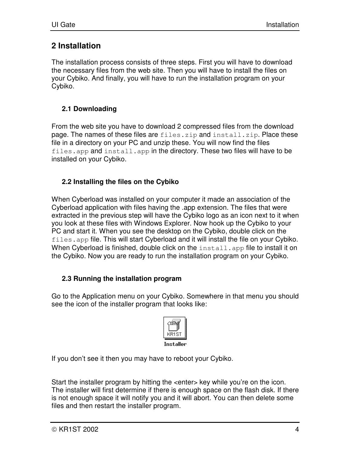### **2 Installation**

The installation process consists of three steps. First you will have to download the necessary files from the web site. Then you will have to install the files on your Cybiko. And finally, you will have to run the installation program on your Cybiko.

### **2.1 Downloading**

From the web site you have to download 2 compressed files from the download page. The names of these files are files.zip and install.zip. Place these file in a directory on your PC and unzip these. You will now find the files files.app and install.app in the directory. These two files will have to be installed on your Cybiko.

### **2.2 Installing the files on the Cybiko**

When Cyberload was installed on your computer it made an association of the Cyberload application with files having the .app extension. The files that were extracted in the previous step will have the Cybiko logo as an icon next to it when you look at these files with Windows Explorer. Now hook up the Cybiko to your PC and start it. When you see the desktop on the Cybiko, double click on the files.app file. This will start Cyberload and it will install the file on your Cybiko. When Cyberload is finished, double click on the install.app file to install it on the Cybiko. Now you are ready to run the installation program on your Cybiko.

### **2.3 Running the installation program**

Go to the Application menu on your Cybiko. Somewhere in that menu you should see the icon of the installer program that looks like:



If you don't see it then you may have to reboot your Cybiko.

Start the installer program by hitting the <enter> key while you're on the icon. The installer will first determine if there is enough space on the flash disk. If there is not enough space it will notify you and it will abort. You can then delete some files and then restart the installer program.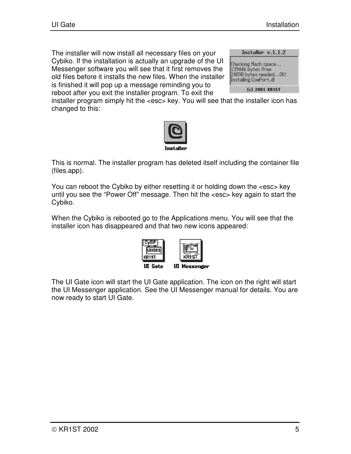The installer will now install all necessary files on your Cybiko. If the installation is actually an upgrade of the UI Messenger software you will see that it first removes the old files before it installs the new files. When the installer is finished it will pop up a message reminding you to reboot after you exit the installer program. To exit the

| Installer v.1.1.2                                                                            |
|----------------------------------------------------------------------------------------------|
| Checking flash space<br>139446 bytes free<br>24898 bytes needed OK!<br>Installing ComPort.dl |
| (c) 2001 KR1ST                                                                               |

installer program simply hit the <esc> key. You will see that the installer icon has changed to this:



This is normal. The installer program has deleted itself including the container file (files.app).

You can reboot the Cybiko by either resetting it or holding down the <esc> key until you see the "Power Off" message. Then hit the <esc> key again to start the Cybiko.

When the Cybiko is rebooted go to the Applications menu. You will see that the installer icon has disappeared and that two new icons appeared:



The UI Gate icon will start the UI Gate application. The icon on the right will start the UI Messenger application. See the UI Messenger manual for details. You are now ready to start UI Gate.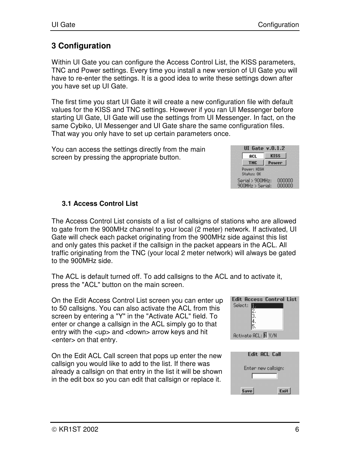# **3 Configuration**

Within UI Gate you can configure the Access Control List, the KISS parameters, TNC and Power settings. Every time you install a new version of UI Gate you will have to re-enter the settings. It is a good idea to write these settings down after you have set up UI Gate.

The first time you start UI Gate it will create a new configuration file with default values for the KISS and TNC settings. However if you ran UI Messenger before starting UI Gate, UI Gate will use the settings from UI Messenger. In fact, on the same Cybiko, UI Messenger and UI Gate share the same configuration files. That way you only have to set up certain parameters once.

You can access the settings directly from the main screen by pressing the appropriate button.



### **3.1 Access Control List**

The Access Control List consists of a list of callsigns of stations who are allowed to gate from the 900MHz channel to your local (2 meter) network. If activated, UI Gate will check each packet originating from the 900MHz side against this list and only gates this packet if the callsign in the packet appears in the ACL. All traffic originating from the TNC (your local 2 meter network) will always be gated to the 900MHz side.

The ACL is default turned off. To add callsigns to the ACL and to activate it, press the "ACL" button on the main screen.

On the Edit Access Control List screen you can enter up to 50 callsigns. You can also activate the ACL from this screen by entering a "Y" in the "Activate ACL" field. To enter or change a callsign in the ACL simply go to that entry with the <up> and <down> arrow keys and hit <enter> on that entry.

On the Edit ACL Call screen that pops up enter the new callsign you would like to add to the list. If there was already a callsign on that entry in the list it will be shown in the edit box so you can edit that callsign or replace it.



| <b>Edit ACL Call</b> |
|----------------------|
| Enter new callsign:  |
| Save<br>Exit         |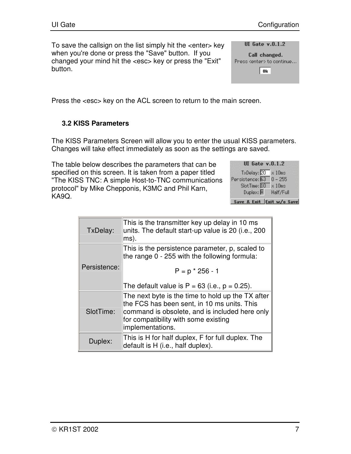To save the callsign on the list simply hit the <enter> key when you're done or press the "Save" button. If you changed your mind hit the <esc> key or press the "Exit" button.

|  | UI Gate $v.0.1.2$ |  |
|--|-------------------|--|
|  |                   |  |

Call changed. Press <enter> to continue...  $|0k|$ 

Press the <esc> key on the ACL screen to return to the main screen.

### **3.2 KISS Parameters**

The KISS Parameters Screen will allow you to enter the usual KISS parameters. Changes will take effect immediately as soon as the settings are saved.

The table below describes the parameters that can be specified on this screen. It is taken from a paper titled "The KISS TNC: A simple Host-to-TNC communications protocol" by Mike Chepponis, K3MC and Phil Karn, KA9Q.

| <b>UI</b> Gate v.0.1.2                            |
|---------------------------------------------------|
| TxDelay: 20<br>$\times$ 10 $\times$               |
| Pensistence: 63<br>$0 - 255$                      |
| SlotTime: 10<br>$\times$ 10ms                     |
| Duplex: $\overline{\bm{\mathsf{H}}}$<br>Half/Full |
| Save & Exit Exit w/o Save                         |

| TxDelay:     | This is the transmitter key up delay in 10 ms<br>units. The default start-up value is 20 (i.e., 200<br>ms).                                                                                                    |
|--------------|----------------------------------------------------------------------------------------------------------------------------------------------------------------------------------------------------------------|
|              | This is the persistence parameter, p, scaled to<br>the range 0 - 255 with the following formula:                                                                                                               |
| Persistence: | $P = p * 256 - 1$                                                                                                                                                                                              |
|              | The default value is $P = 63$ (i.e., $p = 0.25$ ).                                                                                                                                                             |
| SlotTime:    | The next byte is the time to hold up the TX after<br>the FCS has been sent, in 10 ms units. This<br>command is obsolete, and is included here only<br>for compatibility with some existing<br>implementations. |
| Duplex:      | This is H for half duplex, F for full duplex. The<br>default is H (i.e., half duplex).                                                                                                                         |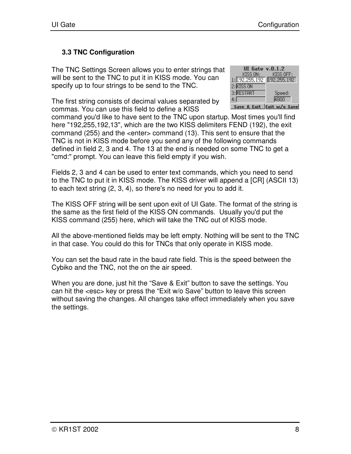### **3.3 TNC Configuration**

The TNC Settings Screen allows you to enter strings that will be sent to the TNC to put it in KISS mode. You can specify up to four strings to be send to the TNC.

The first string consists of decimal values separated by commas. You can use this field to define a KISS

| <b>UI</b> Gate v.0.1.2         |                           |
|--------------------------------|---------------------------|
| KISS ON:                       | KISS OFF:                 |
| 1: 192, 255, 192 192, 255, 192 |                           |
| 2: KISS ON                     |                           |
| 3: RESTART                     | Speed:                    |
| 4:1                            | 4800                      |
|                                | Save & Exit Exit w/o Save |

command you'd like to have sent to the TNC upon startup. Most times you'll find here "192,255,192,13", which are the two KISS delimiters FEND (192), the exit command (255) and the <enter> command (13). This sent to ensure that the TNC is not in KISS mode before you send any of the following commands defined in field 2, 3 and 4. The 13 at the end is needed on some TNC to get a "cmd:" prompt. You can leave this field empty if you wish.

Fields 2, 3 and 4 can be used to enter text commands, which you need to send to the TNC to put it in KISS mode. The KISS driver will append a [CR] (ASCII 13) to each text string (2, 3, 4), so there's no need for you to add it.

The KISS OFF string will be sent upon exit of UI Gate. The format of the string is the same as the first field of the KISS ON commands. Usually you'd put the KISS command (255) here, which will take the TNC out of KISS mode.

All the above-mentioned fields may be left empty. Nothing will be sent to the TNC in that case. You could do this for TNCs that only operate in KISS mode.

You can set the baud rate in the baud rate field. This is the speed between the Cybiko and the TNC, not the on the air speed.

When you are done, just hit the "Save & Exit" button to save the settings. You can hit the <esc> key or press the "Exit w/o Save" button to leave this screen without saving the changes. All changes take effect immediately when you save the settings.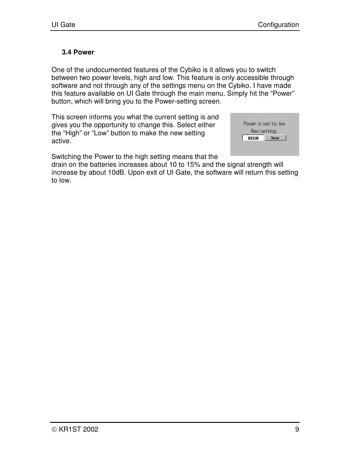### **3.4 Power**

One of the undocumented features of the Cybiko is it allows you to switch between two power levels, high and low. This feature is only accessible through software and not through any of the settings menu on the Cybiko. I have made this feature available on UI Gate through the main menu. Simply hit the "Power" button, which will bring you to the Power-setting screen.

This screen informs you what the current setting is and gives you the opportunity to change this. Select either the "High" or "Low" button to make the new setting active.

| Power is set to: low |     |
|----------------------|-----|
| New setting:         |     |
| HIGH                 | lοω |

Switching the Power to the high setting means that the

drain on the batteries increases about 10 to 15% and the signal strength will increase by about 10dB. Upon exit of UI Gate, the software will return this setting to low.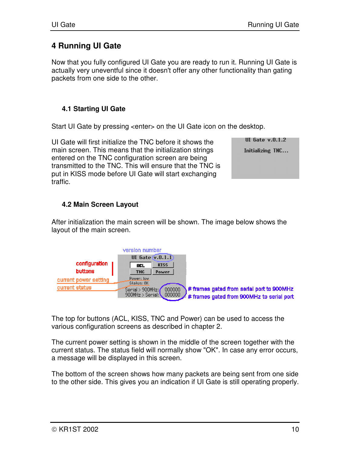## **4 Running UI Gate**

Now that you fully configured UI Gate you are ready to run it. Running UI Gate is actually very uneventful since it doesn't offer any other functionality than gating packets from one side to the other.

### **4.1 Starting UI Gate**

Start UI Gate by pressing <enter> on the UI Gate icon on the desktop.

UI Gate will first initialize the TNC before it shows the main screen. This means that the initialization strings entered on the TNC configuration screen are being transmitted to the TNC. This will ensure that the TNC is put in KISS mode before UI Gate will start exchanging traffic.

**UI** Gate v.0.1.2 Initializing TNC...

### **4.2 Main Screen Layout**

After initialization the main screen will be shown. The image below shows the layout of the main screen.



The top for buttons (ACL, KISS, TNC and Power) can be used to access the various configuration screens as described in chapter 2.

The current power setting is shown in the middle of the screen together with the current status. The status field will normally show "OK". In case any error occurs, a message will be displayed in this screen.

The bottom of the screen shows how many packets are being sent from one side to the other side. This gives you an indication if UI Gate is still operating properly.